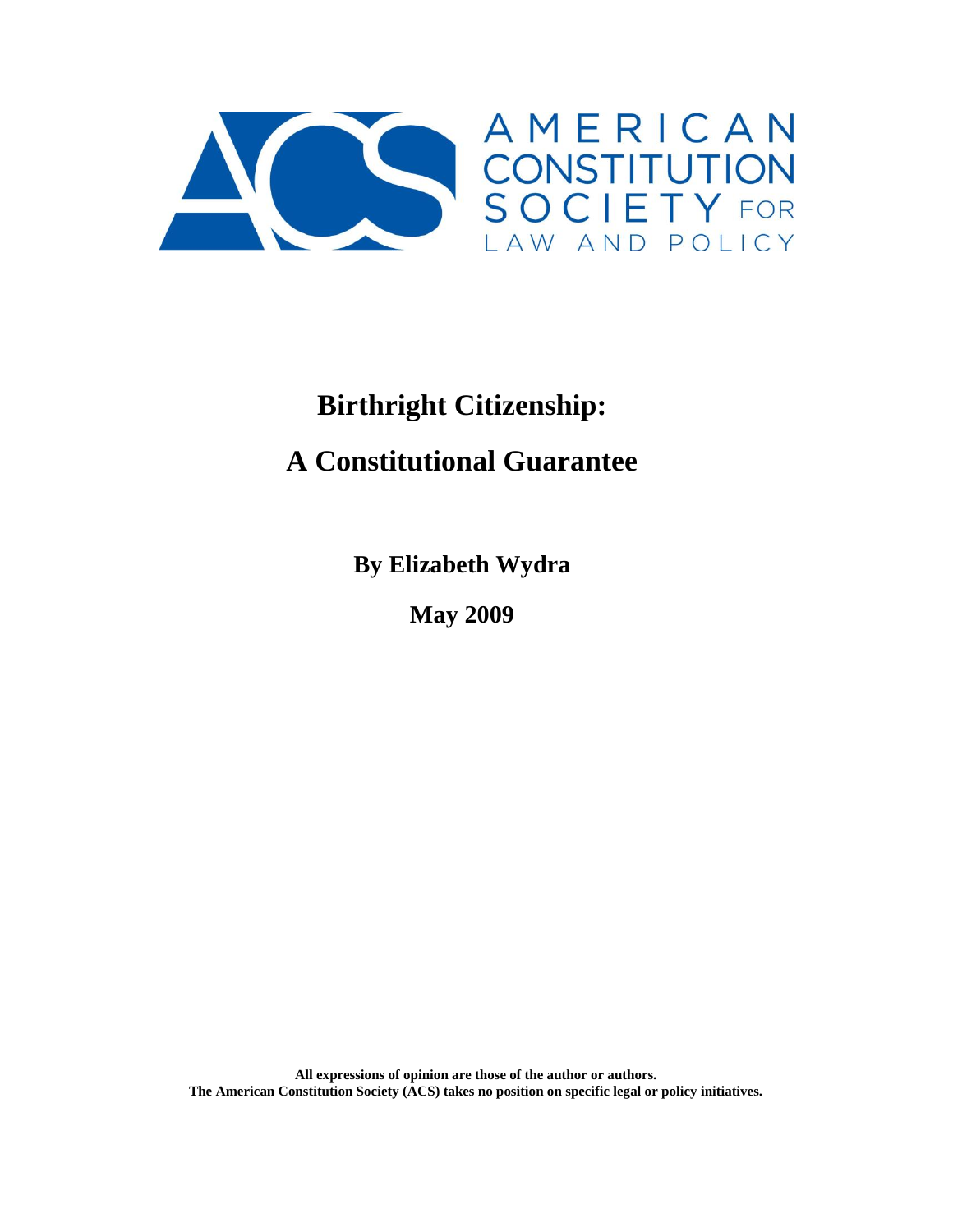

# **Birthright Citizenship:**

# **A Constitutional Guarantee**

**By Elizabeth Wydra**

**May 2009**

**All expressions of opinion are those of the author or authors. The American Constitution Society (ACS) takes no position on specific legal or policy initiatives.**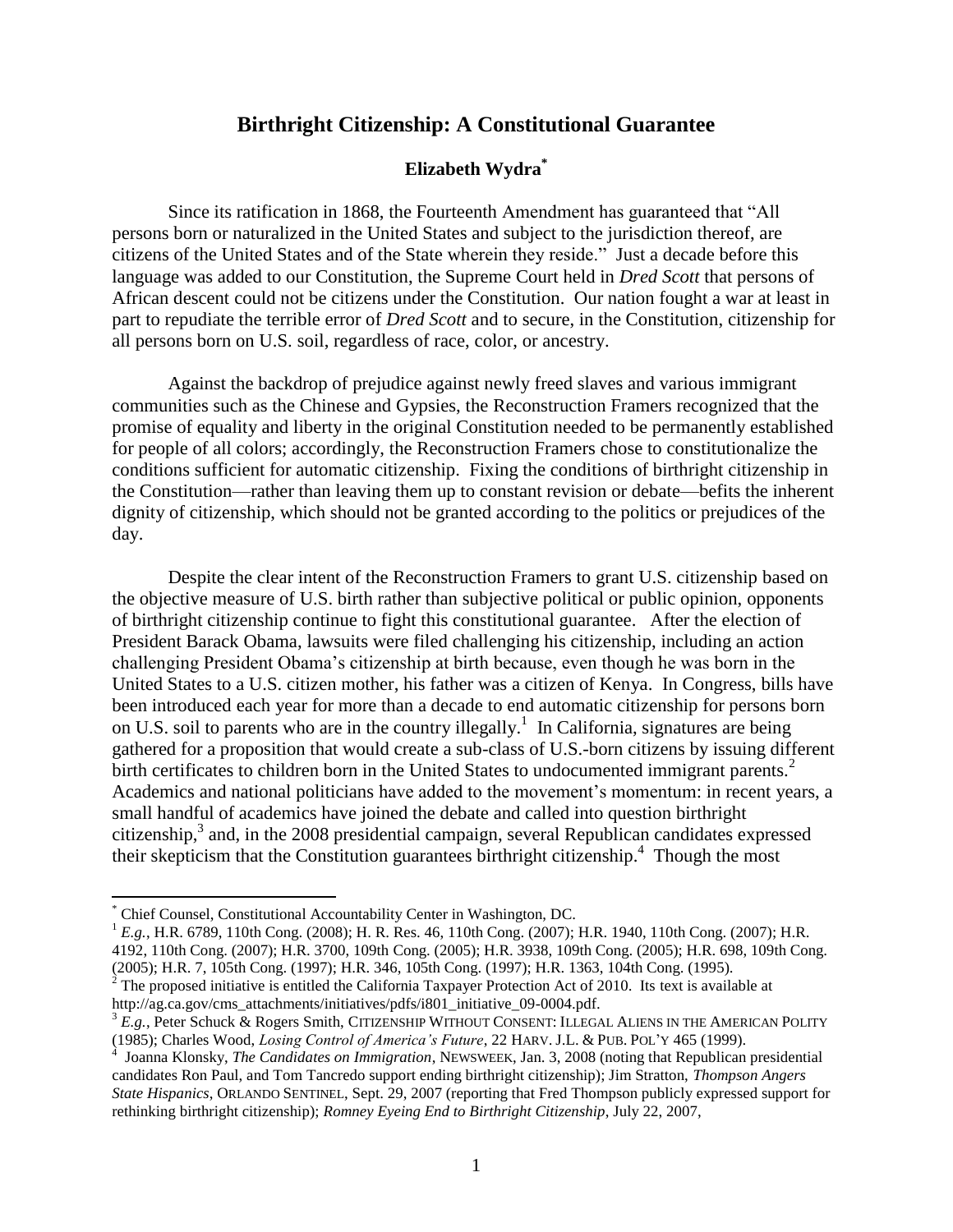# **Birthright Citizenship: A Constitutional Guarantee**

#### **Elizabeth Wydra\***

Since its ratification in 1868, the Fourteenth Amendment has guaranteed that "All persons born or naturalized in the United States and subject to the jurisdiction thereof, are citizens of the United States and of the State wherein they reside." Just a decade before this language was added to our Constitution, the Supreme Court held in *Dred Scott* that persons of African descent could not be citizens under the Constitution. Our nation fought a war at least in part to repudiate the terrible error of *Dred Scott* and to secure, in the Constitution, citizenship for all persons born on U.S. soil, regardless of race, color, or ancestry.

Against the backdrop of prejudice against newly freed slaves and various immigrant communities such as the Chinese and Gypsies, the Reconstruction Framers recognized that the promise of equality and liberty in the original Constitution needed to be permanently established for people of all colors; accordingly, the Reconstruction Framers chose to constitutionalize the conditions sufficient for automatic citizenship. Fixing the conditions of birthright citizenship in the Constitution—rather than leaving them up to constant revision or debate—befits the inherent dignity of citizenship, which should not be granted according to the politics or prejudices of the day.

Despite the clear intent of the Reconstruction Framers to grant U.S. citizenship based on the objective measure of U.S. birth rather than subjective political or public opinion, opponents of birthright citizenship continue to fight this constitutional guarantee. After the election of President Barack Obama, lawsuits were filed challenging his citizenship, including an action challenging President Obama"s citizenship at birth because, even though he was born in the United States to a U.S. citizen mother, his father was a citizen of Kenya. In Congress, bills have been introduced each year for more than a decade to end automatic citizenship for persons born on U.S. soil to parents who are in the country illegally.<sup>1</sup> In California, signatures are being gathered for a proposition that would create a sub-class of U.S.-born citizens by issuing different birth certificates to children born in the United States to undocumented immigrant parents.<sup>2</sup> Academics and national politicians have added to the movement"s momentum: in recent years, a small handful of academics have joined the debate and called into question birthright citizenship,<sup>3</sup> and, in the 2008 presidential campaign, several Republican candidates expressed their skepticism that the Constitution guarantees birthright citizenship.<sup>4</sup> Though the most

<sup>\*</sup> Chief Counsel, Constitutional Accountability Center in Washington, DC.

<sup>&</sup>lt;sup>1</sup> *E.g.*, H.R. 6789, 110th Cong. (2008); H. R. Res. 46, 110th Cong. (2007); H.R. 1940, 110th Cong. (2007); H.R. 4192, 110th Cong. (2007); H.R. 3700, 109th Cong. (2005); H.R. 3938, 109th Cong. (2005); H.R. 698, 109th Cong. (2005); H.R. 7, 105th Cong. (1997); H.R. 346, 105th Cong. (1997); H.R. 1363, 104th Cong. (1995).  $2$  The proposed initiative is entitled the California Taxpayer Protection Act of 2010. Its text is available at

[http://ag.ca.gov/cms\\_attachments/initiatives/pdfs/i801\\_initiative\\_09-0004.pdf.](http://ag.ca.gov/cms_attachments/initiatives/pdfs/i801_initiative_09-0004.pdf)

<sup>3</sup> *E.g.*, Peter Schuck & Rogers Smith, CITIZENSHIP WITHOUT CONSENT: ILLEGAL ALIENS IN THE AMERICAN POLITY (1985); Charles Wood, *Losing Control of America's Future*, 22 HARV. J.L. & PUB. POL"Y 465 (1999).

<sup>4</sup> Joanna Klonsky, *The Candidates on Immigration*, NEWSWEEK, Jan. 3, 2008 (noting that Republican presidential candidates Ron Paul, and Tom Tancredo support ending birthright citizenship); Jim Stratton, *Thompson Angers State Hispanics*, ORLANDO SENTINEL, Sept. 29, 2007 (reporting that Fred Thompson publicly expressed support for rethinking birthright citizenship); *Romney Eyeing End to Birthright Citizenship*, July 22, 2007,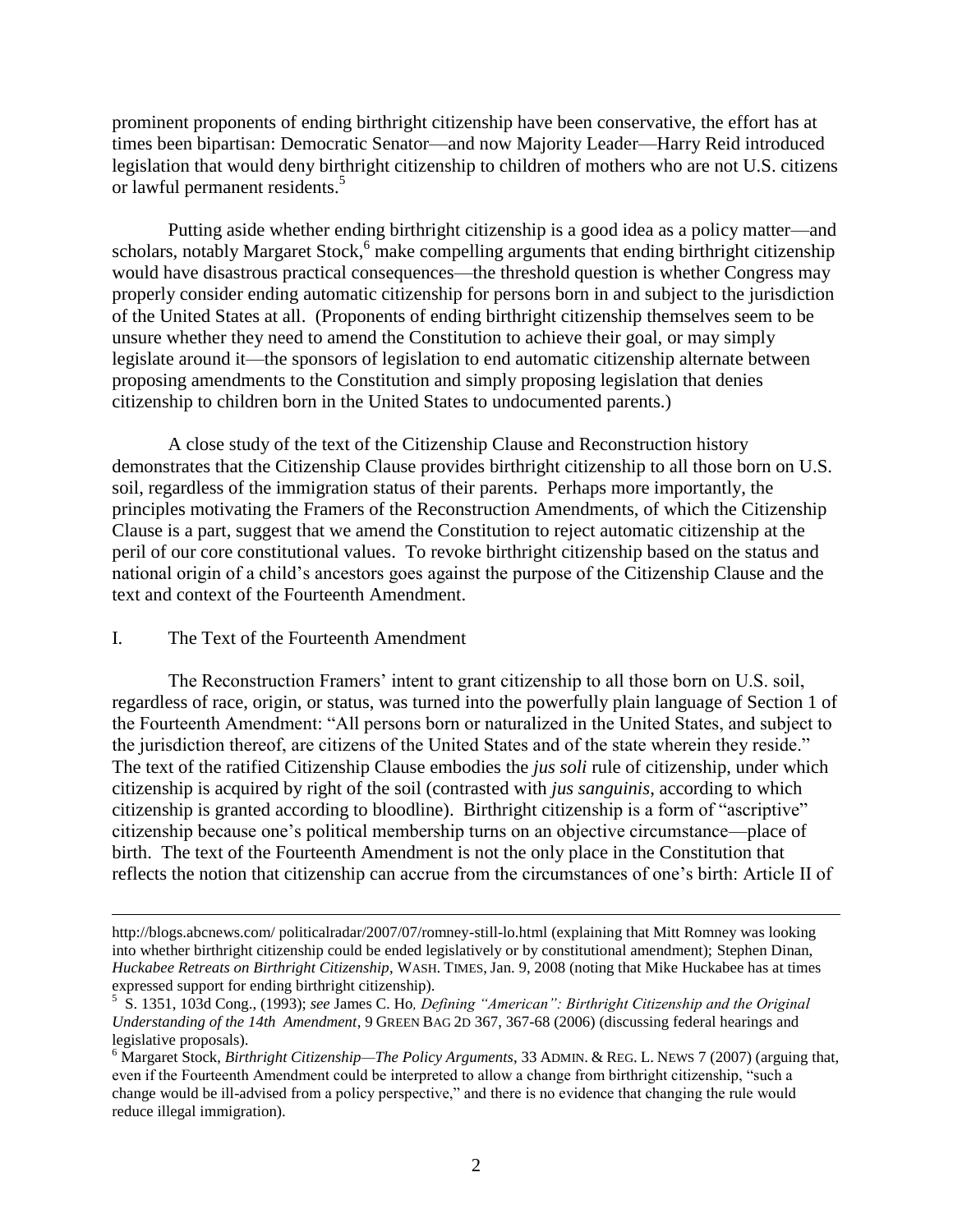prominent proponents of ending birthright citizenship have been conservative, the effort has at times been bipartisan: Democratic Senator—and now Majority Leader—Harry Reid introduced legislation that would deny birthright citizenship to children of mothers who are not U.S. citizens or lawful permanent residents.<sup>5</sup>

Putting aside whether ending birthright citizenship is a good idea as a policy matter—and scholars, notably Margaret Stock, $6 \overline{m}$  make compelling arguments that ending birthright citizenship would have disastrous practical consequences—the threshold question is whether Congress may properly consider ending automatic citizenship for persons born in and subject to the jurisdiction of the United States at all. (Proponents of ending birthright citizenship themselves seem to be unsure whether they need to amend the Constitution to achieve their goal, or may simply legislate around it—the sponsors of legislation to end automatic citizenship alternate between proposing amendments to the Constitution and simply proposing legislation that denies citizenship to children born in the United States to undocumented parents.)

A close study of the text of the Citizenship Clause and Reconstruction history demonstrates that the Citizenship Clause provides birthright citizenship to all those born on U.S. soil, regardless of the immigration status of their parents. Perhaps more importantly, the principles motivating the Framers of the Reconstruction Amendments, of which the Citizenship Clause is a part, suggest that we amend the Constitution to reject automatic citizenship at the peril of our core constitutional values. To revoke birthright citizenship based on the status and national origin of a child"s ancestors goes against the purpose of the Citizenship Clause and the text and context of the Fourteenth Amendment.

# I. The Text of the Fourteenth Amendment

 $\overline{\phantom{a}}$ 

The Reconstruction Framers" intent to grant citizenship to all those born on U.S. soil, regardless of race, origin, or status, was turned into the powerfully plain language of Section 1 of the Fourteenth Amendment: "All persons born or naturalized in the United States, and subject to the jurisdiction thereof, are citizens of the United States and of the state wherein they reside." The text of the ratified Citizenship Clause embodies the *jus soli* rule of citizenship, under which citizenship is acquired by right of the soil (contrasted with *jus sanguinis*, according to which citizenship is granted according to bloodline). Birthright citizenship is a form of "ascriptive" citizenship because one"s political membership turns on an objective circumstance—place of birth. The text of the Fourteenth Amendment is not the only place in the Constitution that reflects the notion that citizenship can accrue from the circumstances of one"s birth: Article II of

[http://blogs.abcnews.com/ politicalradar/2007/07/romney-still-lo.html](http://blogs.abcnews.com/%20politicalradar/2007/07/romney-still-lo.html) (explaining that Mitt Romney was looking into whether birthright citizenship could be ended legislatively or by constitutional amendment); Stephen Dinan, *Huckabee Retreats on Birthright Citizenship*, WASH. TIMES, Jan. 9, 2008 (noting that Mike Huckabee has at times expressed support for ending birthright citizenship).

<sup>5</sup> S. 1351, 103d Cong., (1993); *see* James C. Ho*, Defining "American": Birthright Citizenship and the Original Understanding of the 14th Amendment*, 9 GREEN BAG 2D 367, 367-68 (2006) (discussing federal hearings and legislative proposals).

<sup>6</sup> Margaret Stock, *Birthright Citizenship—The Policy Arguments*, 33 ADMIN. & REG. L. NEWS 7 (2007) (arguing that, even if the Fourteenth Amendment could be interpreted to allow a change from birthright citizenship, "such a change would be ill-advised from a policy perspective," and there is no evidence that changing the rule would reduce illegal immigration).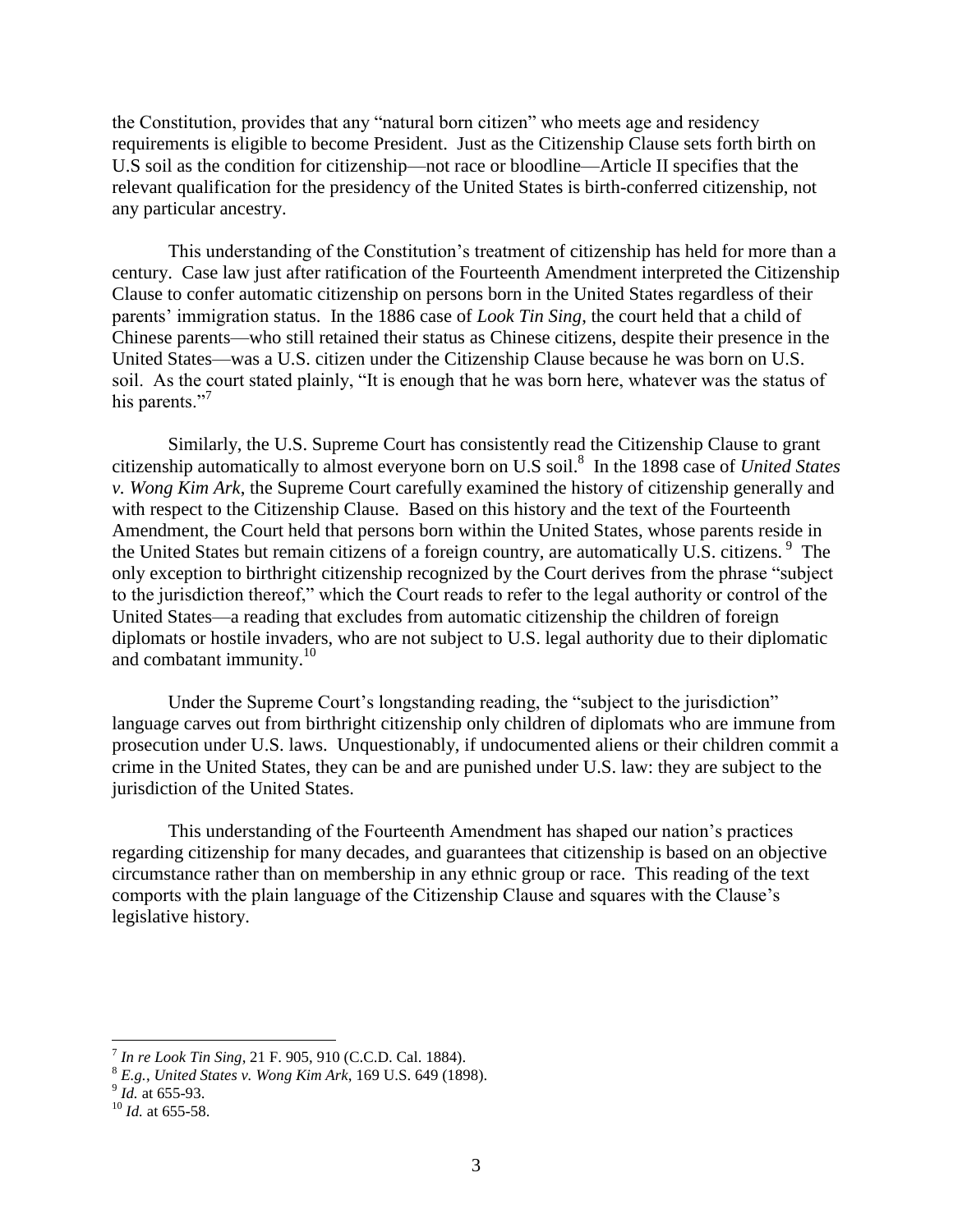the Constitution, provides that any "natural born citizen" who meets age and residency requirements is eligible to become President. Just as the Citizenship Clause sets forth birth on U.S soil as the condition for citizenship—not race or bloodline—Article II specifies that the relevant qualification for the presidency of the United States is birth-conferred citizenship, not any particular ancestry.

This understanding of the Constitution"s treatment of citizenship has held for more than a century. Case law just after ratification of the Fourteenth Amendment interpreted the Citizenship Clause to confer automatic citizenship on persons born in the United States regardless of their parents" immigration status. In the 1886 case of *Look Tin Sing*, the court held that a child of Chinese parents—who still retained their status as Chinese citizens, despite their presence in the United States—was a U.S. citizen under the Citizenship Clause because he was born on U.S. soil. As the court stated plainly, "It is enough that he was born here, whatever was the status of his parents."<sup>7</sup>

Similarly, the U.S. Supreme Court has consistently read the Citizenship Clause to grant citizenship automatically to almost everyone born on U.S soil.<sup>8</sup> In the 1898 case of *United States v. Wong Kim Ark*, the Supreme Court carefully examined the history of citizenship generally and with respect to the Citizenship Clause. Based on this history and the text of the Fourteenth Amendment, the Court held that persons born within the United States, whose parents reside in the United States but remain citizens of a foreign country, are automatically U.S. citizens.<sup>9</sup> The only exception to birthright citizenship recognized by the Court derives from the phrase "subject to the jurisdiction thereof," which the Court reads to refer to the legal authority or control of the United States—a reading that excludes from automatic citizenship the children of foreign diplomats or hostile invaders, who are not subject to U.S. legal authority due to their diplomatic and combatant immunity.<sup>10</sup>

Under the Supreme Court's longstanding reading, the "subject to the jurisdiction" language carves out from birthright citizenship only children of diplomats who are immune from prosecution under U.S. laws. Unquestionably, if undocumented aliens or their children commit a crime in the United States, they can be and are punished under U.S. law: they are subject to the jurisdiction of the United States.

This understanding of the Fourteenth Amendment has shaped our nation"s practices regarding citizenship for many decades, and guarantees that citizenship is based on an objective circumstance rather than on membership in any ethnic group or race. This reading of the text comports with the plain language of the Citizenship Clause and squares with the Clause"s legislative history.

 $\overline{\phantom{a}}$ 

<sup>7</sup> *In re Look Tin Sing*, 21 F. 905, 910 (C.C.D. Cal. 1884).

<sup>8</sup> *E.g.*, *United States v. Wong Kim Ark*, 169 U.S. 649 (1898). 9 *Id.* at 655-93.

<sup>10</sup> *Id.* at 655-58.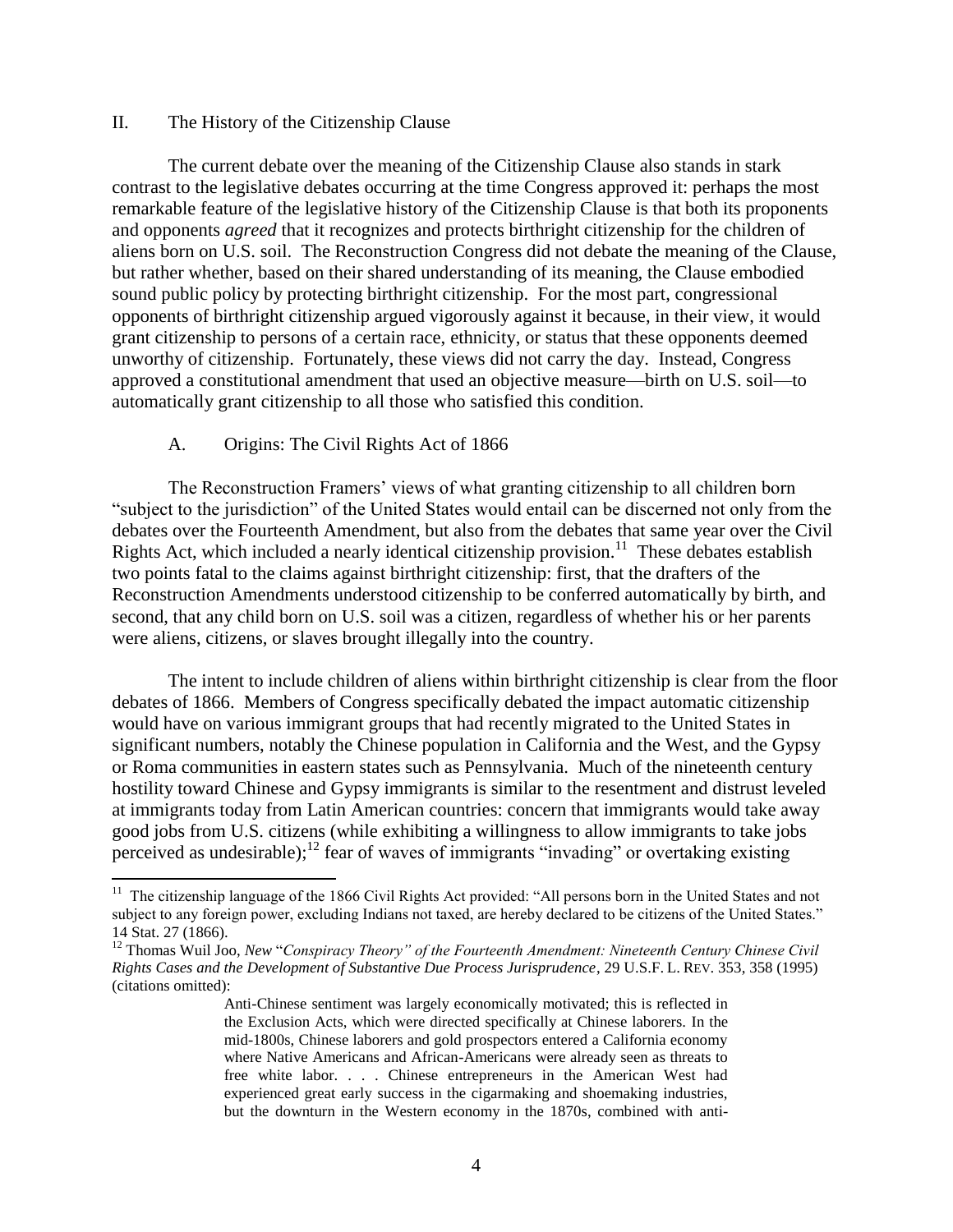#### II. The History of the Citizenship Clause

The current debate over the meaning of the Citizenship Clause also stands in stark contrast to the legislative debates occurring at the time Congress approved it: perhaps the most remarkable feature of the legislative history of the Citizenship Clause is that both its proponents and opponents *agreed* that it recognizes and protects birthright citizenship for the children of aliens born on U.S. soil. The Reconstruction Congress did not debate the meaning of the Clause, but rather whether, based on their shared understanding of its meaning, the Clause embodied sound public policy by protecting birthright citizenship. For the most part, congressional opponents of birthright citizenship argued vigorously against it because, in their view, it would grant citizenship to persons of a certain race, ethnicity, or status that these opponents deemed unworthy of citizenship. Fortunately, these views did not carry the day. Instead, Congress approved a constitutional amendment that used an objective measure—birth on U.S. soil—to automatically grant citizenship to all those who satisfied this condition.

#### A. Origins: The Civil Rights Act of 1866

The Reconstruction Framers' views of what granting citizenship to all children born "subject to the jurisdiction" of the United States would entail can be discerned not only from the debates over the Fourteenth Amendment, but also from the debates that same year over the Civil Rights Act, which included a nearly identical citizenship provision.<sup>11</sup> These debates establish two points fatal to the claims against birthright citizenship: first, that the drafters of the Reconstruction Amendments understood citizenship to be conferred automatically by birth, and second, that any child born on U.S. soil was a citizen, regardless of whether his or her parents were aliens, citizens, or slaves brought illegally into the country.

The intent to include children of aliens within birthright citizenship is clear from the floor debates of 1866. Members of Congress specifically debated the impact automatic citizenship would have on various immigrant groups that had recently migrated to the United States in significant numbers, notably the Chinese population in California and the West, and the Gypsy or Roma communities in eastern states such as Pennsylvania. Much of the nineteenth century hostility toward Chinese and Gypsy immigrants is similar to the resentment and distrust leveled at immigrants today from Latin American countries: concern that immigrants would take away good jobs from U.S. citizens (while exhibiting a willingness to allow immigrants to take jobs perceived as undesirable);<sup>12</sup> fear of waves of immigrants "invading" or overtaking existing

<sup>&</sup>lt;sup>11</sup> The citizenship language of the 1866 Civil Rights Act provided: "All persons born in the United States and not subject to any foreign power, excluding Indians not taxed, are hereby declared to be citizens of the United States." 14 Stat. 27 (1866).

<sup>12</sup> Thomas Wuil Joo, *New* "*Conspiracy Theory" of the Fourteenth Amendment: Nineteenth Century Chinese Civil Rights Cases and the Development of Substantive Due Process Jurisprudence*, 29 U.S.F. L. REV. 353, 358 (1995) (citations omitted):

Anti-Chinese sentiment was largely economically motivated; this is reflected in the Exclusion Acts, which were directed specifically at Chinese laborers. In the mid-1800s, Chinese laborers and gold prospectors entered a California economy where Native Americans and African-Americans were already seen as threats to free white labor. . . . Chinese entrepreneurs in the American West had experienced great early success in the cigarmaking and shoemaking industries, but the downturn in the Western economy in the 1870s, combined with anti-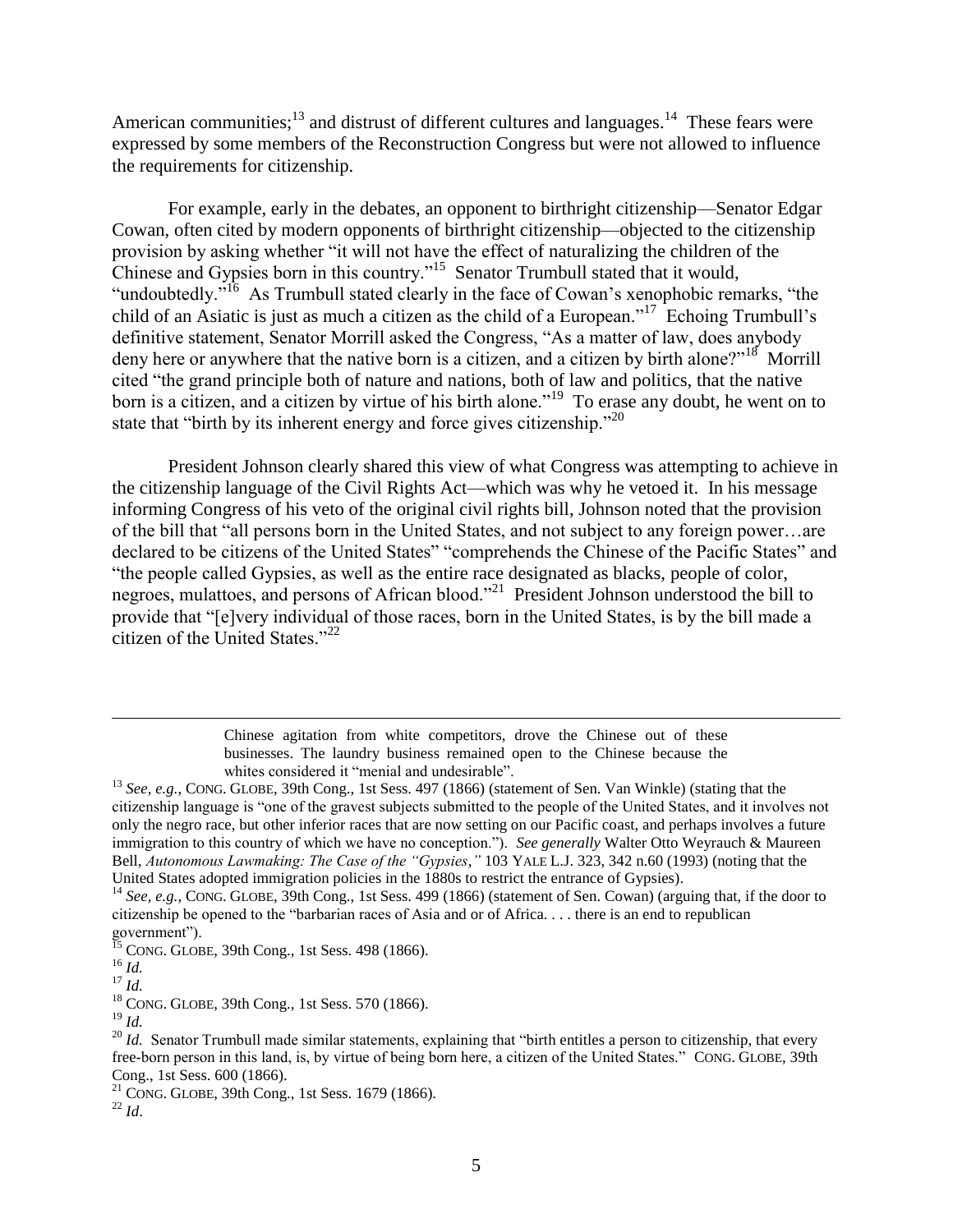American communities;<sup>13</sup> and distrust of different cultures and languages.<sup>14</sup> These fears were expressed by some members of the Reconstruction Congress but were not allowed to influence the requirements for citizenship.

For example, early in the debates, an opponent to birthright citizenship—Senator Edgar Cowan, often cited by modern opponents of birthright citizenship—objected to the citizenship provision by asking whether "it will not have the effect of naturalizing the children of the Chinese and Gypsies born in this country."<sup>15</sup> Senator Trumbull stated that it would, "undoubtedly."<sup>16</sup> As Trumbull stated clearly in the face of Cowan's xenophobic remarks, "the child of an Asiatic is just as much a citizen as the child of a European."<sup>17</sup> Echoing Trumbull's definitive statement, Senator Morrill asked the Congress, "As a matter of law, does anybody deny here or anywhere that the native born is a citizen, and a citizen by birth alone?"<sup>18</sup> Morrill cited "the grand principle both of nature and nations, both of law and politics, that the native born is a citizen, and a citizen by virtue of his birth alone."<sup>19</sup> To erase any doubt, he went on to state that "birth by its inherent energy and force gives citizenship."<sup>20</sup>

President Johnson clearly shared this view of what Congress was attempting to achieve in the citizenship language of the Civil Rights Act—which was why he vetoed it. In his message informing Congress of his veto of the original civil rights bill, Johnson noted that the provision of the bill that "all persons born in the United States, and not subject to any foreign power…are declared to be citizens of the United States" "comprehends the Chinese of the Pacific States" and "the people called Gypsies, as well as the entire race designated as blacks, people of color, negroes, mulattoes, and persons of African blood."<sup>21</sup> President Johnson understood the bill to provide that "[e]very individual of those races, born in the United States, is by the bill made a citizen of the United States."<sup>22</sup>

> Chinese agitation from white competitors, drove the Chinese out of these businesses. The laundry business remained open to the Chinese because the whites considered it "menial and undesirable".

<sup>14</sup> See, e.g., CONG. GLOBE, 39th Cong., 1st Sess. 499 (1866) (statement of Sen. Cowan) (arguing that, if the door to citizenship be opened to the "barbarian races of Asia and or of Africa. . . . there is an end to republican government").

 $^{15}$  CONG. GLOBE, 39th Cong., 1st Sess. 498 (1866).

 $\overline{\phantom{a}}$ 

<sup>18</sup> CONG. GLOBE, 39th Cong., 1st Sess. 570 (1866).

<sup>19</sup> *Id.*

 $^{22}$  *Id.* 

<sup>13</sup> *See, e.g.*, CONG. GLOBE, 39th Cong., 1st Sess. 497 (1866) (statement of Sen. Van Winkle) (stating that the citizenship language is "one of the gravest subjects submitted to the people of the United States, and it involves not only the negro race, but other inferior races that are now setting on our Pacific coast, and perhaps involves a future immigration to this country of which we have no conception."). *See generally* Walter Otto Weyrauch & Maureen Bell, *Autonomous Lawmaking: The Case of the "Gypsies*,*"* 103 YALE L.J. 323, 342 n.60 (1993) (noting that the United States adopted immigration policies in the 1880s to restrict the entrance of Gypsies).

<sup>16</sup> *Id.*

<sup>17</sup> *Id.*

<sup>&</sup>lt;sup>20</sup> *Id.* Senator Trumbull made similar statements, explaining that "birth entitles a person to citizenship, that every free-born person in this land, is, by virtue of being born here, a citizen of the United States." CONG. GLOBE, 39th Cong., 1st Sess. 600 (1866).

 $21$  CONG. GLOBE, 39th Cong., 1st Sess. 1679 (1866).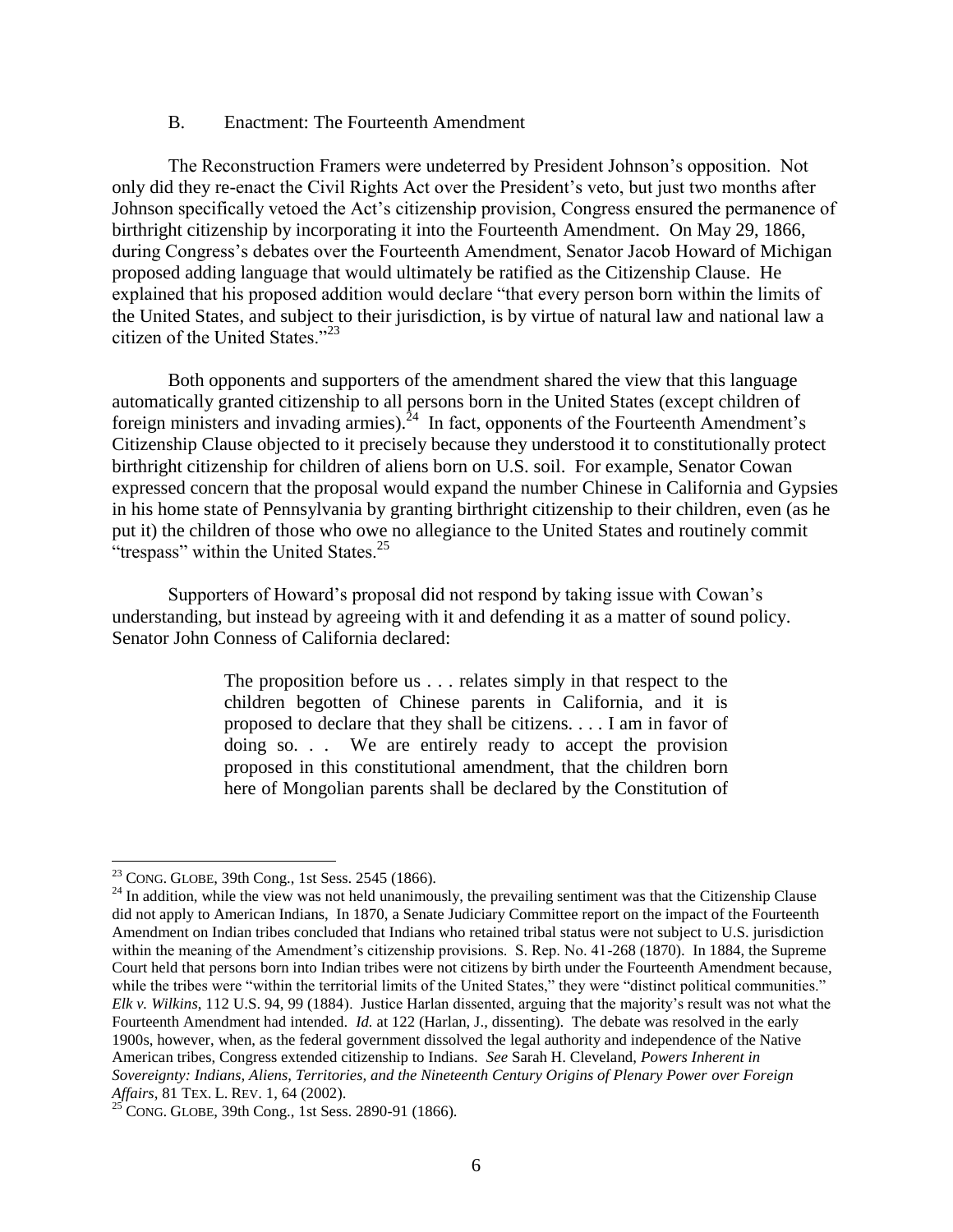#### B. Enactment: The Fourteenth Amendment

The Reconstruction Framers were undeterred by President Johnson"s opposition. Not only did they re-enact the Civil Rights Act over the President"s veto, but just two months after Johnson specifically vetoed the Act"s citizenship provision, Congress ensured the permanence of birthright citizenship by incorporating it into the Fourteenth Amendment. On May 29, 1866, during Congress"s debates over the Fourteenth Amendment, Senator Jacob Howard of Michigan proposed adding language that would ultimately be ratified as the Citizenship Clause. He explained that his proposed addition would declare "that every person born within the limits of the United States, and subject to their jurisdiction, is by virtue of natural law and national law a citizen of the United States."<sup>23</sup>

Both opponents and supporters of the amendment shared the view that this language automatically granted citizenship to all persons born in the United States (except children of foreign ministers and invading armies).<sup>24</sup> In fact, opponents of the Fourteenth Amendment's Citizenship Clause objected to it precisely because they understood it to constitutionally protect birthright citizenship for children of aliens born on U.S. soil. For example, Senator Cowan expressed concern that the proposal would expand the number Chinese in California and Gypsies in his home state of Pennsylvania by granting birthright citizenship to their children, even (as he put it) the children of those who owe no allegiance to the United States and routinely commit "trespass" within the United States. $25$ 

Supporters of Howard"s proposal did not respond by taking issue with Cowan"s understanding, but instead by agreeing with it and defending it as a matter of sound policy. Senator John Conness of California declared:

> The proposition before us . . . relates simply in that respect to the children begotten of Chinese parents in California, and it is proposed to declare that they shall be citizens. . . . I am in favor of doing so. . . We are entirely ready to accept the provision proposed in this constitutional amendment, that the children born here of Mongolian parents shall be declared by the Constitution of

 $^{23}$  CONG. GLOBE, 39th Cong., 1st Sess. 2545 (1866).

<sup>&</sup>lt;sup>24</sup> In addition, while the view was not held unanimously, the prevailing sentiment was that the Citizenship Clause did not apply to American Indians, In 1870, a Senate Judiciary Committee report on the impact of the Fourteenth Amendment on Indian tribes concluded that Indians who retained tribal status were not subject to U.S. jurisdiction within the meaning of the Amendment's citizenship provisions. S. Rep. No. 41-268 (1870). In 1884, the Supreme Court held that persons born into Indian tribes were not citizens by birth under the Fourteenth Amendment because, while the tribes were "within the territorial limits of the United States," they were "distinct political communities." *Elk v. Wilkins*, 112 U.S. 94, 99 (1884). Justice Harlan dissented, arguing that the majority"s result was not what the Fourteenth Amendment had intended. *Id.* at 122 (Harlan, J., dissenting). The debate was resolved in the early 1900s, however, when, as the federal government dissolved the legal authority and independence of the Native American tribes, Congress extended citizenship to Indians. *See* Sarah H. Cleveland, *Powers Inherent in Sovereignty: Indians, Aliens, Territories, and the Nineteenth Century Origins of Plenary Power over Foreign Affairs*, 81 TEX. L. REV. 1, 64 (2002).

 $25^{\circ}$  CONG. GLOBE, 39th Cong., 1st Sess. 2890-91 (1866).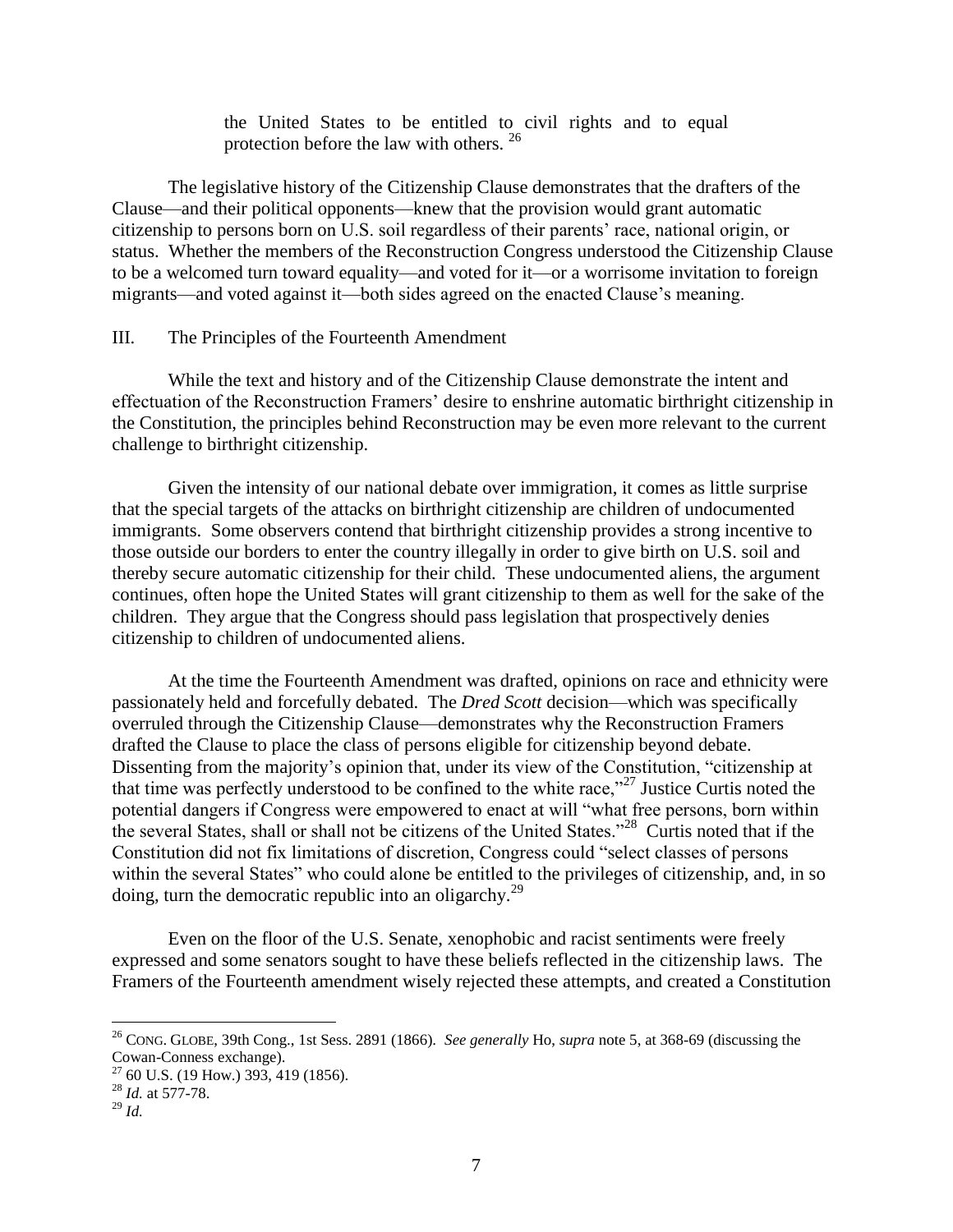the United States to be entitled to civil rights and to equal protection before the law with others.<sup>26</sup>

The legislative history of the Citizenship Clause demonstrates that the drafters of the Clause—and their political opponents—knew that the provision would grant automatic citizenship to persons born on U.S. soil regardless of their parents" race, national origin, or status. Whether the members of the Reconstruction Congress understood the Citizenship Clause to be a welcomed turn toward equality—and voted for it—or a worrisome invitation to foreign migrants—and voted against it—both sides agreed on the enacted Clause's meaning.

# III. The Principles of the Fourteenth Amendment

While the text and history and of the Citizenship Clause demonstrate the intent and effectuation of the Reconstruction Framers" desire to enshrine automatic birthright citizenship in the Constitution, the principles behind Reconstruction may be even more relevant to the current challenge to birthright citizenship.

Given the intensity of our national debate over immigration, it comes as little surprise that the special targets of the attacks on birthright citizenship are children of undocumented immigrants. Some observers contend that birthright citizenship provides a strong incentive to those outside our borders to enter the country illegally in order to give birth on U.S. soil and thereby secure automatic citizenship for their child. These undocumented aliens, the argument continues, often hope the United States will grant citizenship to them as well for the sake of the children. They argue that the Congress should pass legislation that prospectively denies citizenship to children of undocumented aliens.

At the time the Fourteenth Amendment was drafted, opinions on race and ethnicity were passionately held and forcefully debated. The *Dred Scott* decision—which was specifically overruled through the Citizenship Clause—demonstrates why the Reconstruction Framers drafted the Clause to place the class of persons eligible for citizenship beyond debate. Dissenting from the majority's opinion that, under its view of the Constitution, "citizenship at that time was perfectly understood to be confined to the white race,"<sup>27</sup> Justice Curtis noted the potential dangers if Congress were empowered to enact at will "what free persons, born within the several States, shall or shall not be citizens of the United States."<sup>28</sup> Curtis noted that if the Constitution did not fix limitations of discretion, Congress could "select classes of persons within the several States" who could alone be entitled to the privileges of citizenship, and, in so doing, turn the democratic republic into an oligarchy.<sup>29</sup>

Even on the floor of the U.S. Senate, xenophobic and racist sentiments were freely expressed and some senators sought to have these beliefs reflected in the citizenship laws. The Framers of the Fourteenth amendment wisely rejected these attempts, and created a Constitution

<sup>26</sup> CONG. GLOBE, 39th Cong., 1st Sess. 2891 (1866). *See generally* Ho, *supra* note 5, at 368-69 (discussing the Cowan-Conness exchange).

 $27$  60 U.S. (19 How.) 393, 419 (1856).

<sup>28</sup> *Id.* at 577-78.

 $^{29}$  *Id.*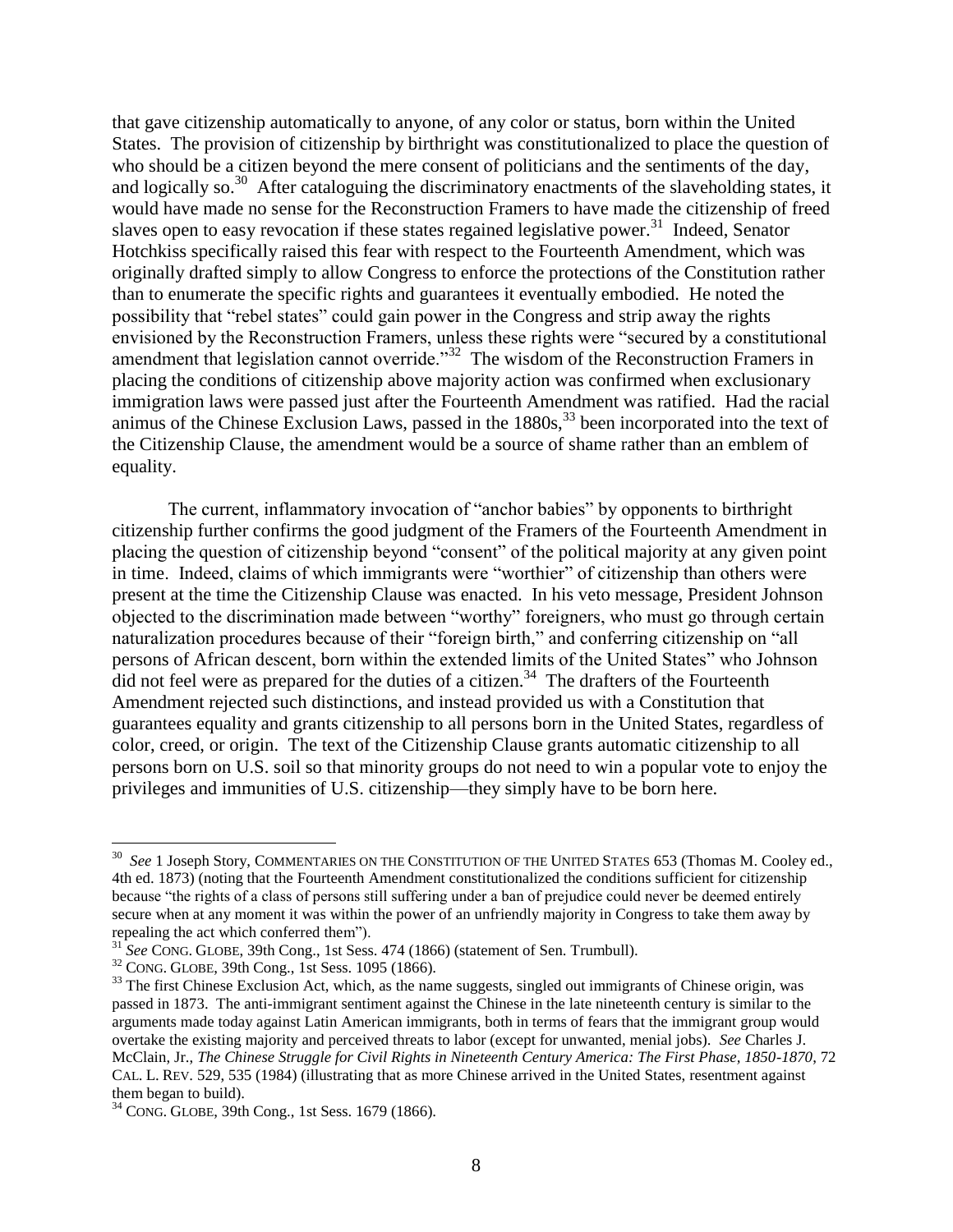that gave citizenship automatically to anyone, of any color or status, born within the United States. The provision of citizenship by birthright was constitutionalized to place the question of who should be a citizen beyond the mere consent of politicians and the sentiments of the day, and logically so.<sup>30</sup> After cataloguing the discriminatory enactments of the slaveholding states, it would have made no sense for the Reconstruction Framers to have made the citizenship of freed slaves open to easy revocation if these states regained legislative power.<sup>31</sup> Indeed, Senator Hotchkiss specifically raised this fear with respect to the Fourteenth Amendment, which was originally drafted simply to allow Congress to enforce the protections of the Constitution rather than to enumerate the specific rights and guarantees it eventually embodied. He noted the possibility that "rebel states" could gain power in the Congress and strip away the rights envisioned by the Reconstruction Framers, unless these rights were "secured by a constitutional amendment that legislation cannot override."<sup>32</sup> The wisdom of the Reconstruction Framers in placing the conditions of citizenship above majority action was confirmed when exclusionary immigration laws were passed just after the Fourteenth Amendment was ratified. Had the racial animus of the Chinese Exclusion Laws, passed in the  $1880s$ ,  $33$  been incorporated into the text of the Citizenship Clause, the amendment would be a source of shame rather than an emblem of equality.

The current, inflammatory invocation of "anchor babies" by opponents to birthright citizenship further confirms the good judgment of the Framers of the Fourteenth Amendment in placing the question of citizenship beyond "consent" of the political majority at any given point in time. Indeed, claims of which immigrants were "worthier" of citizenship than others were present at the time the Citizenship Clause was enacted. In his veto message, President Johnson objected to the discrimination made between "worthy" foreigners, who must go through certain naturalization procedures because of their "foreign birth," and conferring citizenship on "all persons of African descent, born within the extended limits of the United States" who Johnson  $\overline{a}$  did not feel were as prepared for the duties of a citizen.<sup>34</sup> The drafters of the Fourteenth Amendment rejected such distinctions, and instead provided us with a Constitution that guarantees equality and grants citizenship to all persons born in the United States, regardless of color, creed, or origin. The text of the Citizenship Clause grants automatic citizenship to all persons born on U.S. soil so that minority groups do not need to win a popular vote to enjoy the privileges and immunities of U.S. citizenship—they simply have to be born here.

 30 *See* 1 Joseph Story, COMMENTARIES ON THE CONSTITUTION OF THE UNITED STATES 653 (Thomas M. Cooley ed., 4th ed. 1873) (noting that the Fourteenth Amendment constitutionalized the conditions sufficient for citizenship because "the rights of a class of persons still suffering under a ban of prejudice could never be deemed entirely secure when at any moment it was within the power of an unfriendly majority in Congress to take them away by repealing the act which conferred them").

<sup>31</sup> *See* CONG. GLOBE, 39th Cong., 1st Sess. 474 (1866) (statement of Sen. Trumbull).

<sup>32</sup> CONG. GLOBE, 39th Cong., 1st Sess. 1095 (1866).

<sup>&</sup>lt;sup>33</sup> The first Chinese Exclusion Act, which, as the name suggests, singled out immigrants of Chinese origin, was passed in 1873. The anti-immigrant sentiment against the Chinese in the late nineteenth century is similar to the arguments made today against Latin American immigrants, both in terms of fears that the immigrant group would overtake the existing majority and perceived threats to labor (except for unwanted, menial jobs). *See* Charles J. McClain, Jr., *The Chinese Struggle for Civil Rights in Nineteenth Century America: The First Phase, 1850-1870*, 72 CAL. L. REV. 529, 535 (1984) (illustrating that as more Chinese arrived in the United States, resentment against them began to build).

<sup>34</sup> CONG. GLOBE, 39th Cong., 1st Sess. 1679 (1866).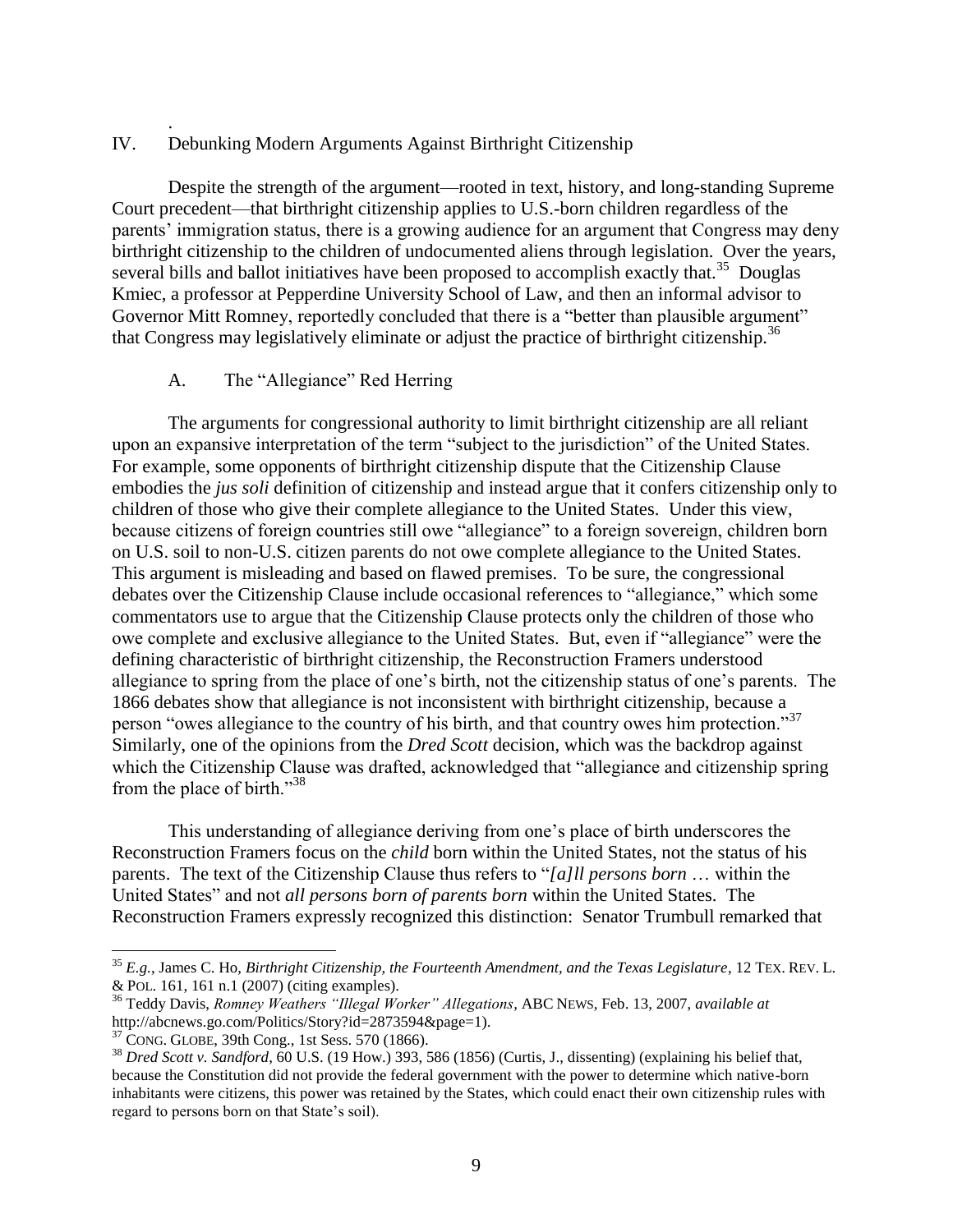#### IV. Debunking Modern Arguments Against Birthright Citizenship

Despite the strength of the argument—rooted in text, history, and long-standing Supreme Court precedent—that birthright citizenship applies to U.S.-born children regardless of the parents' immigration status, there is a growing audience for an argument that Congress may deny birthright citizenship to the children of undocumented aliens through legislation. Over the years, several bills and ballot initiatives have been proposed to accomplish exactly that.<sup>35</sup> Douglas Kmiec, a professor at Pepperdine University School of Law, and then an informal advisor to Governor Mitt Romney, reportedly concluded that there is a "better than plausible argument" that Congress may legislatively eliminate or adjust the practice of birthright citizenship.<sup>36</sup>

# A. The "Allegiance" Red Herring

.

The arguments for congressional authority to limit birthright citizenship are all reliant upon an expansive interpretation of the term "subject to the jurisdiction" of the United States. For example, some opponents of birthright citizenship dispute that the Citizenship Clause embodies the *jus soli* definition of citizenship and instead argue that it confers citizenship only to children of those who give their complete allegiance to the United States. Under this view, because citizens of foreign countries still owe "allegiance" to a foreign sovereign, children born on U.S. soil to non-U.S. citizen parents do not owe complete allegiance to the United States. This argument is misleading and based on flawed premises. To be sure, the congressional debates over the Citizenship Clause include occasional references to "allegiance," which some commentators use to argue that the Citizenship Clause protects only the children of those who owe complete and exclusive allegiance to the United States. But, even if "allegiance" were the defining characteristic of birthright citizenship, the Reconstruction Framers understood allegiance to spring from the place of one"s birth, not the citizenship status of one"s parents. The 1866 debates show that allegiance is not inconsistent with birthright citizenship, because a person "owes allegiance to the country of his birth, and that country owes him protection."<sup>37</sup> Similarly, one of the opinions from the *Dred Scott* decision, which was the backdrop against which the Citizenship Clause was drafted, acknowledged that "allegiance and citizenship spring from the place of birth."<sup>38</sup>

This understanding of allegiance deriving from one"s place of birth underscores the Reconstruction Framers focus on the *child* born within the United States, not the status of his parents. The text of the Citizenship Clause thus refers to "*[a]ll persons born* … within the United States" and not *all persons born of parents born* within the United States. The Reconstruction Framers expressly recognized this distinction: Senator Trumbull remarked that

 $\overline{\phantom{a}}$ 

<sup>35</sup> *E.g.*, James C. Ho, *Birthright Citizenship, the Fourteenth Amendment, and the Texas Legislature*, 12 TEX. REV. L. & POL. 161, 161 n.1 (2007) (citing examples).

<sup>36</sup> Teddy Davis, *Romney Weathers "Illegal Worker" Allegations*, ABC NEWS, Feb. 13, 2007, *available at* http://abcnews.go.com/Politics/Story?id=2873594&page=1).

<sup>37</sup> CONG. GLOBE, 39th Cong., 1st Sess. 570 (1866).

<sup>38</sup> *Dred Scott v. Sandford*, 60 U.S. (19 How.) 393, 586 (1856) (Curtis, J., dissenting) (explaining his belief that, because the Constitution did not provide the federal government with the power to determine which native-born inhabitants were citizens, this power was retained by the States, which could enact their own citizenship rules with regard to persons born on that State's soil).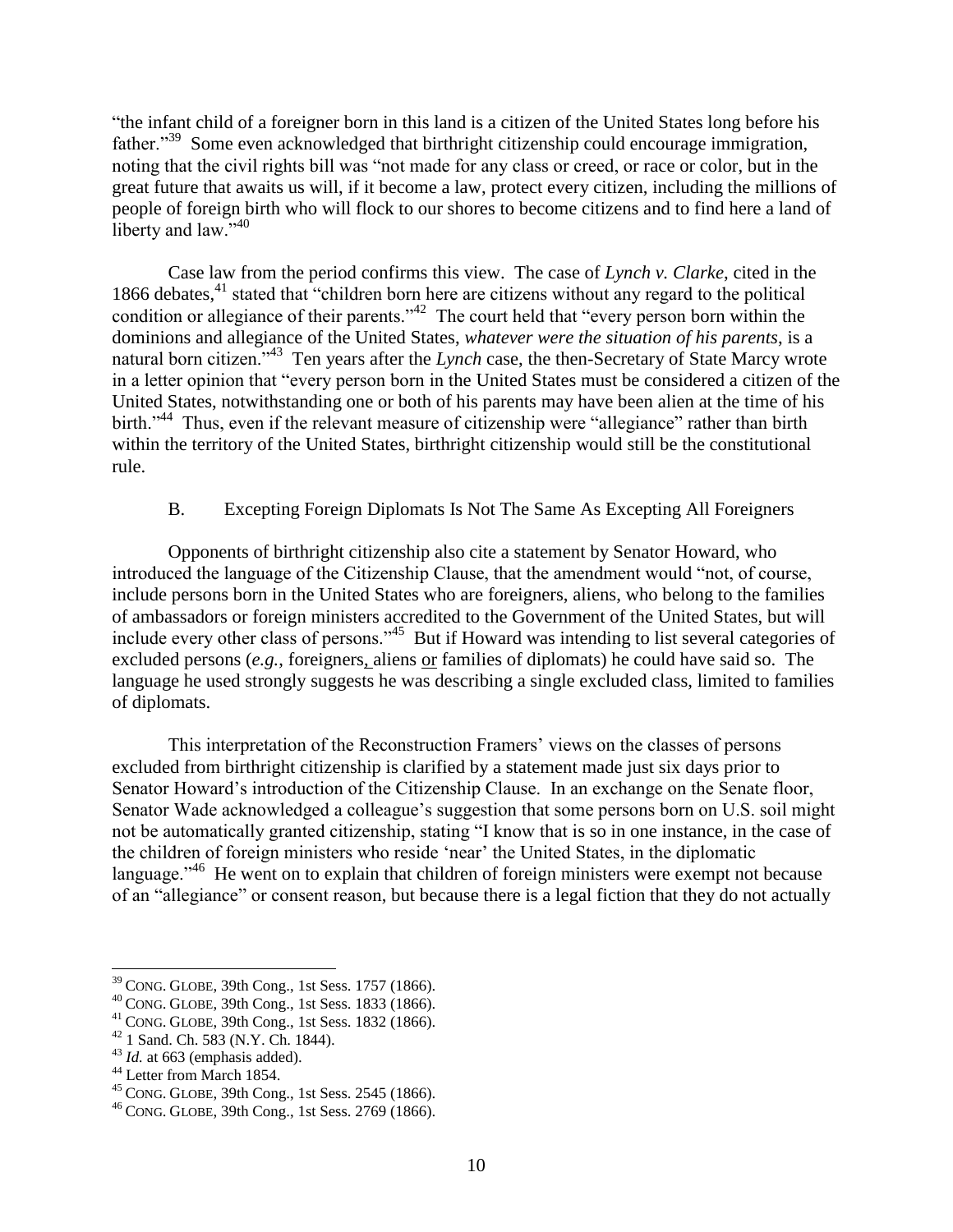"the infant child of a foreigner born in this land is a citizen of the United States long before his father."<sup>39</sup> Some even acknowledged that birthright citizenship could encourage immigration, noting that the civil rights bill was "not made for any class or creed, or race or color, but in the great future that awaits us will, if it become a law, protect every citizen, including the millions of people of foreign birth who will flock to our shores to become citizens and to find here a land of liberty and law." $40$ 

Case law from the period confirms this view. The case of *Lynch v. Clarke*, cited in the 1866 debates,<sup>41</sup> stated that "children born here are citizens without any regard to the political condition or allegiance of their parents."<sup>42</sup> The court held that "every person born within the dominions and allegiance of the United States, *whatever were the situation of his parents*, is a natural born citizen.<sup>743</sup> Ten years after the *Lynch* case, the then-Secretary of State Marcy wrote in a letter opinion that "every person born in the United States must be considered a citizen of the United States, notwithstanding one or both of his parents may have been alien at the time of his birth."<sup>44</sup> Thus, even if the relevant measure of citizenship were "allegiance" rather than birth within the territory of the United States, birthright citizenship would still be the constitutional rule.

# B. Excepting Foreign Diplomats Is Not The Same As Excepting All Foreigners

Opponents of birthright citizenship also cite a statement by Senator Howard, who introduced the language of the Citizenship Clause, that the amendment would "not, of course, include persons born in the United States who are foreigners, aliens, who belong to the families of ambassadors or foreign ministers accredited to the Government of the United States, but will include every other class of persons."<sup>45</sup> But if Howard was intending to list several categories of excluded persons (*e.g.*, foreigners, aliens or families of diplomats) he could have said so. The language he used strongly suggests he was describing a single excluded class, limited to families of diplomats.

This interpretation of the Reconstruction Framers' views on the classes of persons excluded from birthright citizenship is clarified by a statement made just six days prior to Senator Howard"s introduction of the Citizenship Clause. In an exchange on the Senate floor, Senator Wade acknowledged a colleague's suggestion that some persons born on U.S. soil might not be automatically granted citizenship, stating "I know that is so in one instance, in the case of the children of foreign ministers who reside "near" the United States, in the diplomatic language."<sup>46</sup> He went on to explain that children of foreign ministers were exempt not because of an "allegiance" or consent reason, but because there is a legal fiction that they do not actually

 $39$  CONG. GLOBE, 39th Cong., 1st Sess. 1757 (1866).

<sup>40</sup> CONG. GLOBE, 39th Cong., 1st Sess. 1833 (1866).

<sup>41</sup> CONG. GLOBE, 39th Cong., 1st Sess. 1832 (1866).

<sup>42</sup> 1 Sand. Ch. 583 (N.Y. Ch. 1844).

<sup>&</sup>lt;sup>43</sup> *Id.* at 663 (emphasis added).

<sup>44</sup> Letter from March 1854.

<sup>45</sup> CONG. GLOBE, 39th Cong., 1st Sess. 2545 (1866).

<sup>46</sup> CONG. GLOBE, 39th Cong., 1st Sess. 2769 (1866).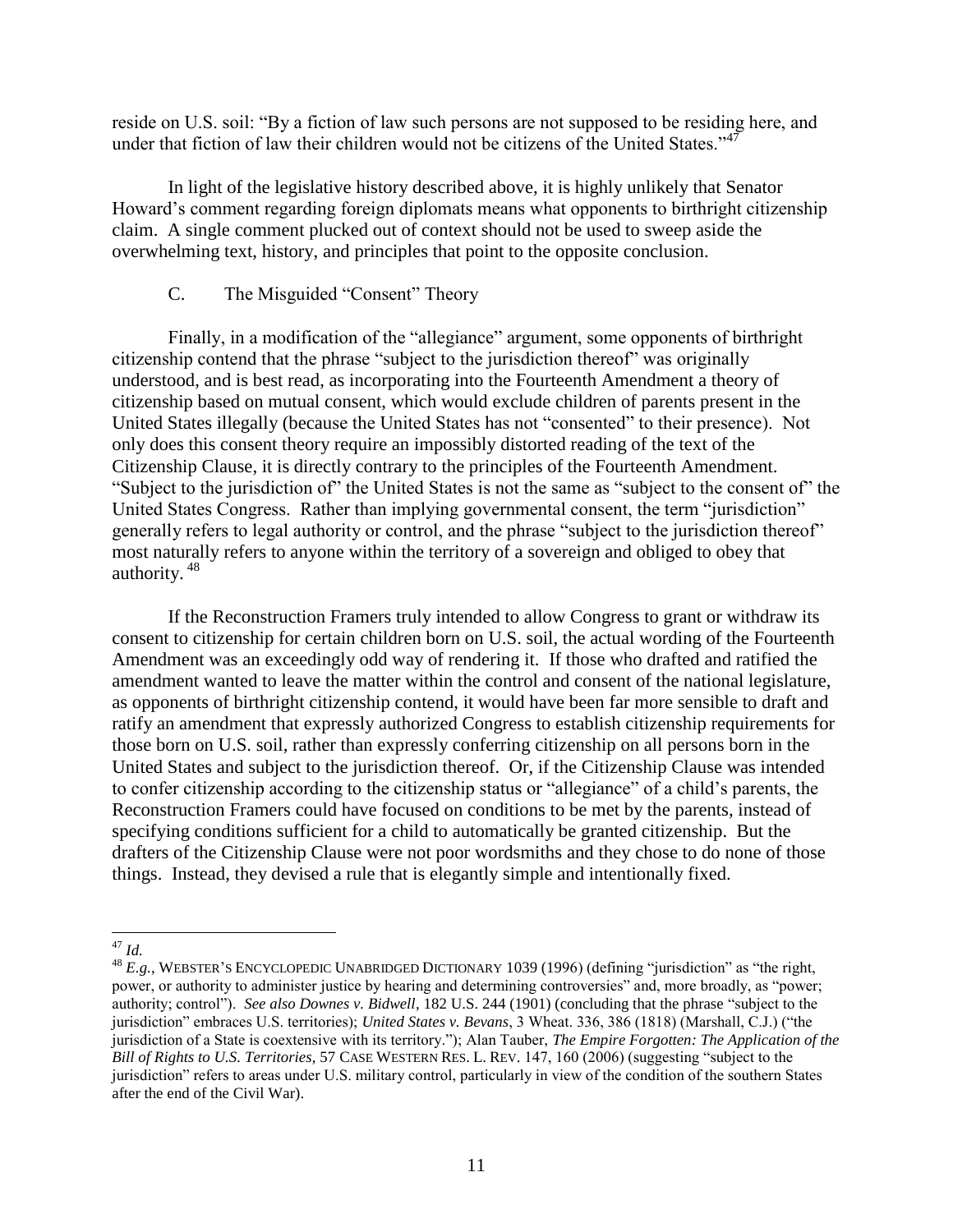reside on U.S. soil: "By a fiction of law such persons are not supposed to be residing here, and under that fiction of law their children would not be citizens of the United States." $47$ 

In light of the legislative history described above, it is highly unlikely that Senator Howard"s comment regarding foreign diplomats means what opponents to birthright citizenship claim. A single comment plucked out of context should not be used to sweep aside the overwhelming text, history, and principles that point to the opposite conclusion.

# C. The Misguided "Consent" Theory

Finally, in a modification of the "allegiance" argument, some opponents of birthright citizenship contend that the phrase "subject to the jurisdiction thereof" was originally understood, and is best read, as incorporating into the Fourteenth Amendment a theory of citizenship based on mutual consent, which would exclude children of parents present in the United States illegally (because the United States has not "consented" to their presence). Not only does this consent theory require an impossibly distorted reading of the text of the Citizenship Clause, it is directly contrary to the principles of the Fourteenth Amendment. "Subject to the jurisdiction of" the United States is not the same as "subject to the consent of" the United States Congress. Rather than implying governmental consent, the term "jurisdiction" generally refers to legal authority or control, and the phrase "subject to the jurisdiction thereof" most naturally refers to anyone within the territory of a sovereign and obliged to obey that authority. <sup>48</sup>

If the Reconstruction Framers truly intended to allow Congress to grant or withdraw its consent to citizenship for certain children born on U.S. soil, the actual wording of the Fourteenth Amendment was an exceedingly odd way of rendering it. If those who drafted and ratified the amendment wanted to leave the matter within the control and consent of the national legislature, as opponents of birthright citizenship contend, it would have been far more sensible to draft and ratify an amendment that expressly authorized Congress to establish citizenship requirements for those born on U.S. soil, rather than expressly conferring citizenship on all persons born in the United States and subject to the jurisdiction thereof. Or, if the Citizenship Clause was intended to confer citizenship according to the citizenship status or "allegiance" of a child"s parents, the Reconstruction Framers could have focused on conditions to be met by the parents, instead of specifying conditions sufficient for a child to automatically be granted citizenship. But the drafters of the Citizenship Clause were not poor wordsmiths and they chose to do none of those things. Instead, they devised a rule that is elegantly simple and intentionally fixed.

 $\overline{\phantom{a}}$ <sup>47</sup> *Id.*

<sup>&</sup>lt;sup>48</sup> *E.g.*, WEBSTER'S ENCYCLOPEDIC UNABRIDGED DICTIONARY 1039 (1996) (defining "jurisdiction" as "the right, power, or authority to administer justice by hearing and determining controversies" and, more broadly, as "power; authority; control"). *See also Downes v. Bidwell*, 182 U.S. 244 (1901) (concluding that the phrase "subject to the jurisdiction" embraces U.S. territories); *United States v. Bevans*, 3 Wheat. 336, 386 (1818) (Marshall, C.J.) ("the jurisdiction of a State is coextensive with its territory."); Alan Tauber, *The Empire Forgotten: The Application of the Bill of Rights to U.S. Territories*, 57 CASE WESTERN RES. L. REV. 147, 160 (2006) (suggesting "subject to the jurisdiction" refers to areas under U.S. military control, particularly in view of the condition of the southern States after the end of the Civil War).